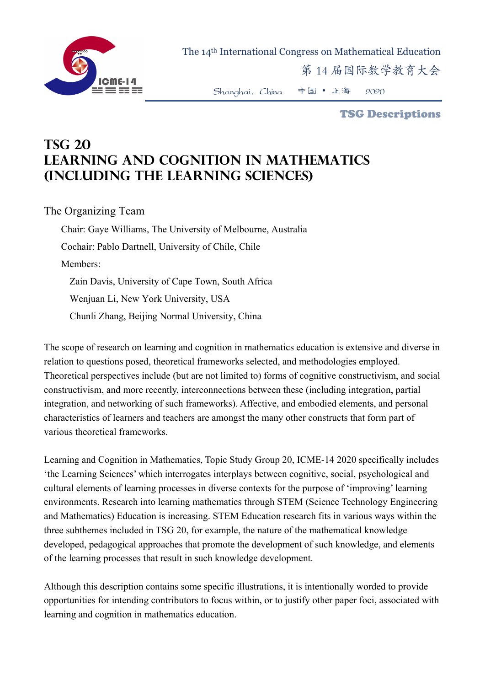

The 14th International Congress on Mathematical Education

第 14 届国际数学教育大会

Shanghai,China 中国 • 上海 2020

TSG Descriptions

## **TSG 20 Learning and cognition in mathematics (including the LEARNING sciences)**

The Organizing Team

Chair: Gaye Williams, The University of Melbourne, Australia Cochair: Pablo Dartnell, University of Chile, Chile Members: Zain Davis, University of Cape Town, South Africa Wenjuan Li, New York University, USA Chunli Zhang, Beijing Normal University, China

The scope of research on learning and cognition in mathematics education is extensive and diverse in relation to questions posed, theoretical frameworks selected, and methodologies employed. Theoretical perspectives include (but are not limited to) forms of cognitive constructivism, and social constructivism, and more recently, interconnections between these (including integration, partial integration, and networking of such frameworks). Affective, and embodied elements, and personal characteristics of learners and teachers are amongst the many other constructs that form part of various theoretical frameworks.

Learning and Cognition in Mathematics, Topic Study Group 20, ICME-14 2020 specifically includes 'the Learning Sciences' which interrogates interplays between cognitive, social, psychological and cultural elements of learning processes in diverse contexts for the purpose of 'improving' learning environments. Research into learning mathematics through STEM (Science Technology Engineering and Mathematics) Education is increasing. STEM Education research fits in various ways within the three subthemes included in TSG 20, for example, the nature of the mathematical knowledge developed, pedagogical approaches that promote the development of such knowledge, and elements of the learning processes that result in such knowledge development.

Although this description contains some specific illustrations, it is intentionally worded to provide opportunities for intending contributors to focus within, or to justify other paper foci, associated with learning and cognition in mathematics education.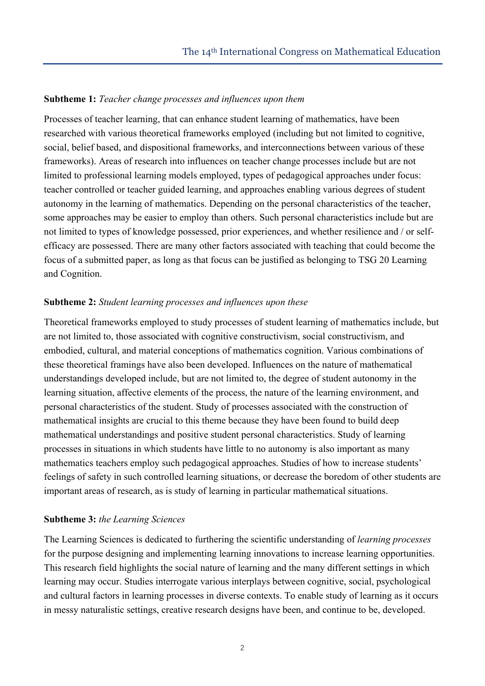## **Subtheme 1:** *Teacher change processes and influences upon them*

Processes of teacher learning, that can enhance student learning of mathematics, have been researched with various theoretical frameworks employed (including but not limited to cognitive, social, belief based, and dispositional frameworks, and interconnections between various of these frameworks). Areas of research into influences on teacher change processes include but are not limited to professional learning models employed, types of pedagogical approaches under focus: teacher controlled or teacher guided learning, and approaches enabling various degrees of student autonomy in the learning of mathematics. Depending on the personal characteristics of the teacher, some approaches may be easier to employ than others. Such personal characteristics include but are not limited to types of knowledge possessed, prior experiences, and whether resilience and / or selfefficacy are possessed. There are many other factors associated with teaching that could become the focus of a submitted paper, as long as that focus can be justified as belonging to TSG 20 Learning and Cognition.

## **Subtheme 2:** *Student learning processes and influences upon these*

Theoretical frameworks employed to study processes of student learning of mathematics include, but are not limited to, those associated with cognitive constructivism, social constructivism, and embodied, cultural, and material conceptions of mathematics cognition. Various combinations of these theoretical framings have also been developed. Influences on the nature of mathematical understandings developed include, but are not limited to, the degree of student autonomy in the learning situation, affective elements of the process, the nature of the learning environment, and personal characteristics of the student. Study of processes associated with the construction of mathematical insights are crucial to this theme because they have been found to build deep mathematical understandings and positive student personal characteristics. Study of learning processes in situations in which students have little to no autonomy is also important as many mathematics teachers employ such pedagogical approaches. Studies of how to increase students' feelings of safety in such controlled learning situations, or decrease the boredom of other students are important areas of research, as is study of learning in particular mathematical situations.

## **Subtheme 3:** *the Learning Sciences*

The Learning Sciences is dedicated to furthering the scientific understanding of *learning processes* for the purpose designing and implementing learning innovations to increase learning opportunities. This research field highlights the social nature of learning and the many different settings in which learning may occur. Studies interrogate various interplays between cognitive, social, psychological and cultural factors in learning processes in diverse contexts. To enable study of learning as it occurs in messy naturalistic settings, creative research designs have been, and continue to be, developed.